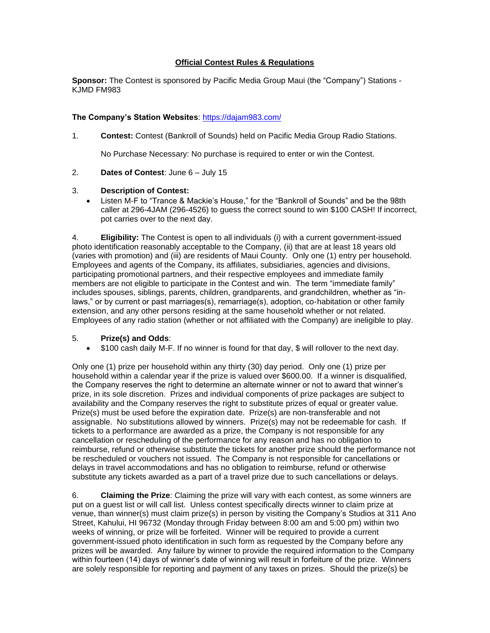## **Official Contest Rules & Regulations**

**Sponsor:** The Contest is sponsored by Pacific Media Group Maui (the "Company") Stations - KJMD FM983

## **The Company's Station Websites**:<https://dajam983.com/>

1. **Contest:** Contest (Bankroll of Sounds) held on Pacific Media Group Radio Stations.

No Purchase Necessary: No purchase is required to enter or win the Contest.

2. **Dates of Contest**: June 6 – July 15

## 3. **Description of Contest:**

• Listen M-F to "Trance & Mackie's House," for the "Bankroll of Sounds" and be the 98th caller at 296-4JAM (296-4526) to guess the correct sound to win \$100 CASH! If incorrect, pot carries over to the next day.

4. **Eligibility:** The Contest is open to all individuals (i) with a current government-issued photo identification reasonably acceptable to the Company, (ii) that are at least 18 years old (varies with promotion) and (iii) are residents of Maui County. Only one (1) entry per household. Employees and agents of the Company, its affiliates, subsidiaries, agencies and divisions, participating promotional partners, and their respective employees and immediate family members are not eligible to participate in the Contest and win. The term "immediate family" includes spouses, siblings, parents, children, grandparents, and grandchildren, whether as "inlaws," or by current or past marriages(s), remarriage(s), adoption, co-habitation or other family extension, and any other persons residing at the same household whether or not related. Employees of any radio station (whether or not affiliated with the Company) are ineligible to play.

## 5. **Prize(s) and Odds**:

• \$100 cash daily M-F. If no winner is found for that day, \$ will rollover to the next day.

Only one (1) prize per household within any thirty (30) day period. Only one (1) prize per household within a calendar year if the prize is valued over \$600.00. If a winner is disqualified, the Company reserves the right to determine an alternate winner or not to award that winner's prize, in its sole discretion. Prizes and individual components of prize packages are subject to availability and the Company reserves the right to substitute prizes of equal or greater value. Prize(s) must be used before the expiration date. Prize(s) are non-transferable and not assignable. No substitutions allowed by winners. Prize(s) may not be redeemable for cash. If tickets to a performance are awarded as a prize, the Company is not responsible for any cancellation or rescheduling of the performance for any reason and has no obligation to reimburse, refund or otherwise substitute the tickets for another prize should the performance not be rescheduled or vouchers not issued. The Company is not responsible for cancellations or delays in travel accommodations and has no obligation to reimburse, refund or otherwise substitute any tickets awarded as a part of a travel prize due to such cancellations or delays.

6. **Claiming the Prize**: Claiming the prize will vary with each contest, as some winners are put on a guest list or will call list. Unless contest specifically directs winner to claim prize at venue, than winner(s) must claim prize(s) in person by visiting the Company's Studios at 311 Ano Street, Kahului, HI 96732 (Monday through Friday between 8:00 am and 5:00 pm) within two weeks of winning, or prize will be forfeited. Winner will be required to provide a current government-issued photo identification in such form as requested by the Company before any prizes will be awarded. Any failure by winner to provide the required information to the Company within fourteen (14) days of winner's date of winning will result in forfeiture of the prize. Winners are solely responsible for reporting and payment of any taxes on prizes. Should the prize(s) be